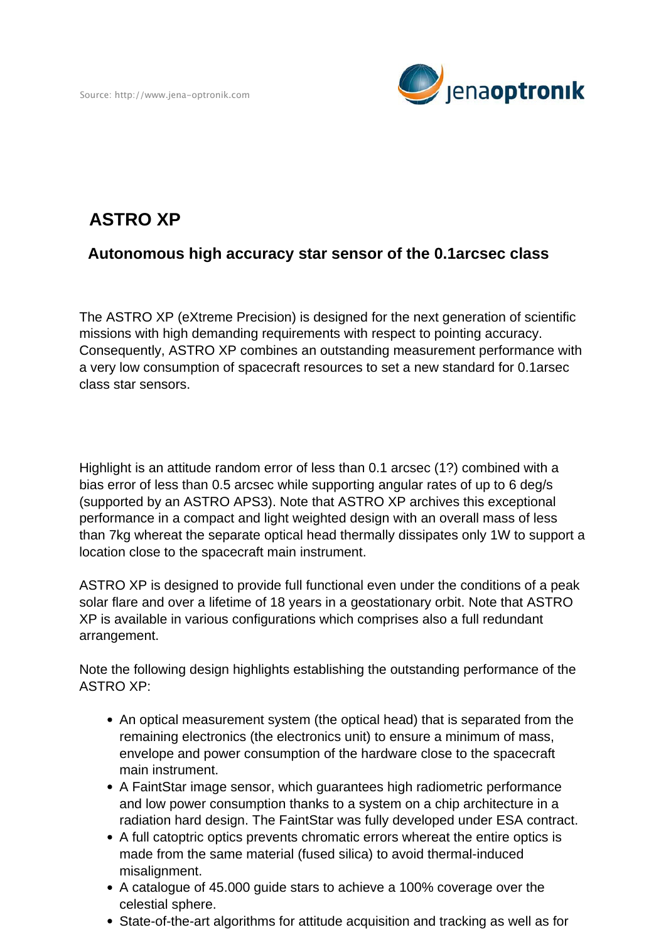

## **ASTRO XP**

## **Autonomous high accuracy star sensor of the 0.1arcsec class**

The ASTRO XP (eXtreme Precision) is designed for the next generation of scientific missions with high demanding requirements with respect to pointing accuracy. Consequently, ASTRO XP combines an outstanding measurement performance with a very low consumption of spacecraft resources to set a new standard for 0.1arsec class star sensors.

Highlight is an attitude random error of less than 0.1 arcsec (1?) combined with a bias error of less than 0.5 arcsec while supporting angular rates of up to 6 deg/s (supported by an ASTRO APS3). Note that ASTRO XP archives this exceptional performance in a compact and light weighted design with an overall mass of less than 7kg whereat the separate optical head thermally dissipates only 1W to support a location close to the spacecraft main instrument.

ASTRO XP is designed to provide full functional even under the conditions of a peak solar flare and over a lifetime of 18 years in a geostationary orbit. Note that ASTRO XP is available in various configurations which comprises also a full redundant arrangement.

Note the following design highlights establishing the outstanding performance of the ASTRO XP:

- An optical measurement system (the optical head) that is separated from the remaining electronics (the electronics unit) to ensure a minimum of mass, envelope and power consumption of the hardware close to the spacecraft main instrument.
- A FaintStar image sensor, which guarantees high radiometric performance and low power consumption thanks to a system on a chip architecture in a radiation hard design. The FaintStar was fully developed under ESA contract.
- A full catoptric optics prevents chromatic errors whereat the entire optics is made from the same material (fused silica) to avoid thermal-induced misalignment.
- A catalogue of 45.000 guide stars to achieve a 100% coverage over the celestial sphere.
- State-of-the-art algorithms for attitude acquisition and tracking as well as for